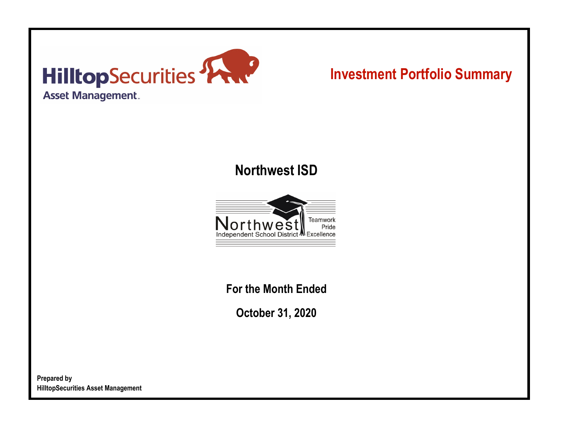

# **Investment Portfolio Summary**

## **Northwest ISD**



**For the Month Ended**

**October 31, 2020**

**Prepared by HilltopSecurities Asset Management**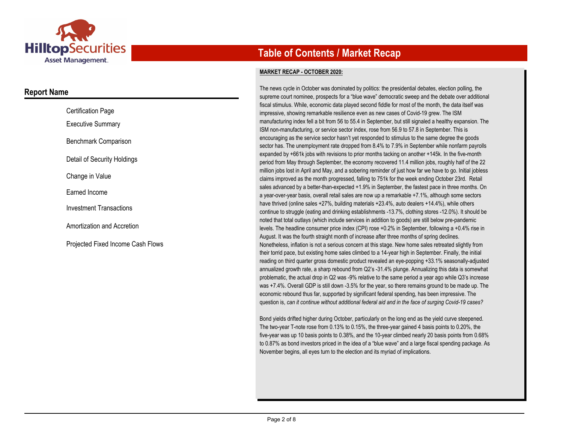

### **Report Name**

| <b>Certification Page</b>         |
|-----------------------------------|
| <b>Executive Summary</b>          |
| Benchmark Comparison              |
| Detail of Security Holdings       |
| Change in Value                   |
| Farned Income                     |
| <b>Investment Transactions</b>    |
| Amortization and Accretion        |
| Proiected Fixed Income Cash Flows |

## **Table of Contents / Market Recap**

#### **MARKET RECAP - OCTOBER 2020:**

The news cycle in October was dominated by politics: the presidential debates, election polling, the supreme court nominee, prospects for a "blue wave" democratic sweep and the debate over additional fiscal stimulus. While, economic data played second fiddle for most of the month, the data itself was impressive, showing remarkable resilience even as new cases of Covid-19 grew. The ISM manufacturing index fell a bit from 56 to 55.4 in September, but still signaled a healthy expansion. The ISM non-manufacturing, or service sector index, rose from 56.9 to 57.8 in September. This is encouraging as the service sector hasn't yet responded to stimulus to the same degree the goods sector has. The unemployment rate dropped from 8.4% to 7.9% in September while nonfarm payrolls expanded by +661k jobs with revisions to prior months tacking on another +145k. In the five-month period from May through September, the economy recovered 11.4 million jobs, roughly half of the 22 million jobs lost in April and May, and a sobering reminder of just how far we have to go. Initial jobless claims improved as the month progressed, falling to 751k for the week ending October 23rd. Retail sales advanced by a better-than-expected +1.9% in September, the fastest pace in three months. On a year-over-year basis, overall retail sales are now up a remarkable +7.1%, although some sectors have thrived (online sales +27%, building materials +23.4%, auto dealers +14.4%), while others continue to struggle (eating and drinking establishments -13.7%, clothing stores -12.0%). It should be noted that total outlays (which include services in addition to goods) are still below pre-pandemic levels. The headline consumer price index (CPI) rose +0.2% in September, following a +0.4% rise in August. It was the fourth straight month of increase after three months of spring declines. Nonetheless, inflation is not a serious concern at this stage. New home sales retreated slightly from their torrid pace, but existing home sales climbed to a 14-year high in September. Finally, the initial reading on third quarter gross domestic product revealed an eye-popping +33.1% seasonally-adjusted annualized growth rate, a sharp rebound from Q2's -31.4% plunge. Annualizing this data is somewhat problematic, the actual drop in Q2 was -9% relative to the same period a year ago while Q3's increase was +7.4%. Overall GDP is still down -3.5% for the year, so there remains ground to be made up. The economic rebound thus far, supported by significant federal spending, has been impressive. The question is, *can it continue without additional federal aid and in the face of surging Covid-19 cases?*

Bond yields drifted higher during October, particularly on the long end as the yield curve steepened. The two-year T-note rose from 0.13% to 0.15%, the three-year gained 4 basis points to 0.20%, the five-year was up 10 basis points to 0.38%, and the 10-year climbed nearly 20 basis points from 0.68% to 0.87% as bond investors priced in the idea of a "blue wave" and a large fiscal spending package. As November begins, all eyes turn to the election and its myriad of implications.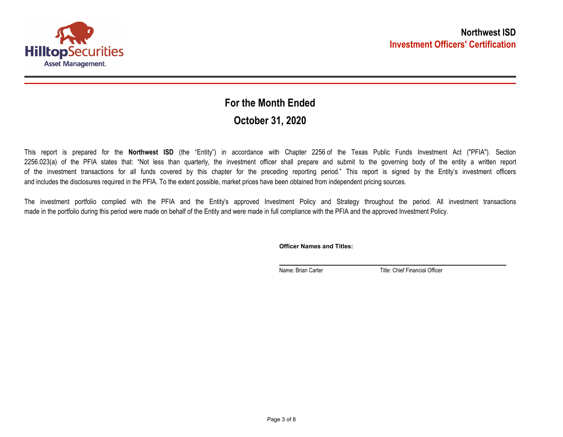

## **October 31, 2020 For the Month Ended**

This report is prepared for the **Northwest ISD** (the "Entity") in accordance with Chapter 2256 of the Texas Public Funds Investment Act ("PFIA"). Section 2256.023(a) of the PFIA states that: "Not less than quarterly, the investment officer shall prepare and submit to the governing body of the entity a written report of the investment transactions for all funds covered by this chapter for the preceding reporting period." This report is signed by the Entity's investment officers and includes the disclosures required in the PFIA. To the extent possible, market prices have been obtained from independent pricing sources.

The investment portfolio complied with the PFIA and the Entity's approved Investment Policy and Strategy throughout the period. All investment transactions made in the portfolio during this period were made on behalf of the Entity and were made in full compliance with the PFIA and the approved Investment Policy.

**Officer Names and Titles:**

Name: Brian Carter Title: Chief Financial Officer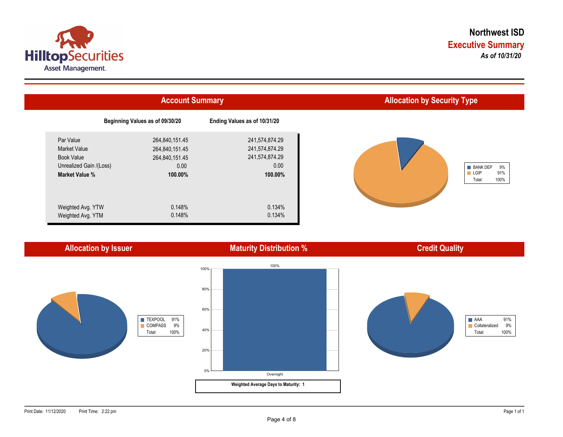



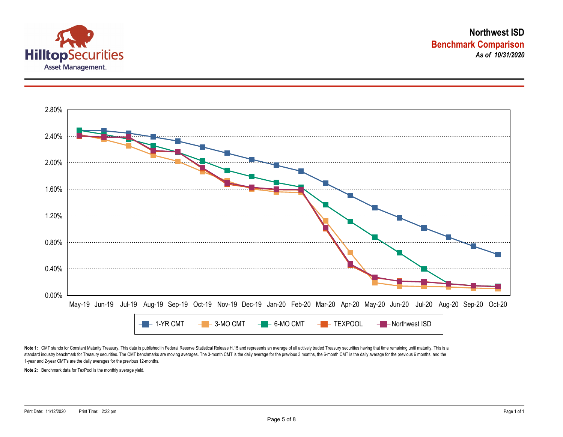



Note 1: CMT stands for Constant Maturity Treasury. This data is published in Federal Reserve Statistical Release H.15 and represents an average of all actively traded Treasury securities having that time remaining until ma standard industry benchmark for Treasury securities. The CMT benchmarks are moving averages. The 3-month CMT is the daily average for the previous 3 months, the 6-month CMT is the daily average for the previous 6 months, a 1-year and 2-year CMT's are the daily averages for the previous 12-months.

**Note 2:** Benchmark data for TexPool is the monthly average yield.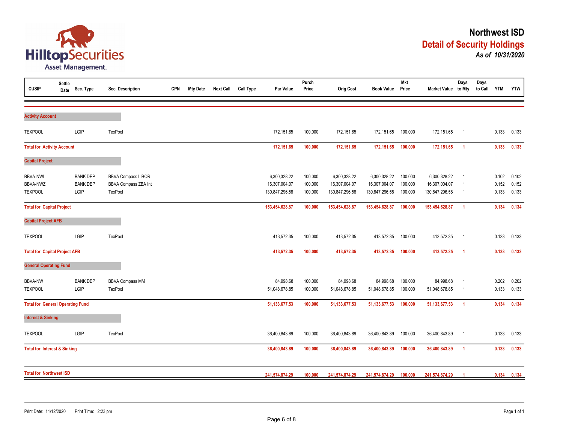

| <b>CUSIP</b>                                         | <b>Settle</b><br>Date | Sec. Type                                  | Sec. Description                                             | <b>CPN</b> | <b>Mty Date</b> | <b>Next Call</b> | <b>Call Type</b> | Par Value                                       | Purch<br>Price                | <b>Orig Cost</b>                                | <b>Book Value</b>                               | <b>Mkt</b><br>Price           | Market Value to Mty                             | Days                                               | Days<br>to Call | <b>YTM</b>              | <b>YTW</b>              |
|------------------------------------------------------|-----------------------|--------------------------------------------|--------------------------------------------------------------|------------|-----------------|------------------|------------------|-------------------------------------------------|-------------------------------|-------------------------------------------------|-------------------------------------------------|-------------------------------|-------------------------------------------------|----------------------------------------------------|-----------------|-------------------------|-------------------------|
|                                                      |                       |                                            |                                                              |            |                 |                  |                  |                                                 |                               |                                                 |                                                 |                               |                                                 |                                                    |                 |                         |                         |
| <b>Activity Account</b>                              |                       |                                            |                                                              |            |                 |                  |                  |                                                 |                               |                                                 |                                                 |                               |                                                 |                                                    |                 |                         |                         |
| <b>TEXPOOL</b>                                       |                       | LGIP                                       | TexPool                                                      |            |                 |                  |                  | 172,151.65                                      | 100.000                       | 172,151.65                                      | 172,151.65                                      | 100.000                       | 172,151.65                                      | $\overline{1}$                                     |                 | 0.133                   | 0.133                   |
| <b>Total for Activity Account</b>                    |                       |                                            |                                                              |            |                 |                  |                  | 172,151.65                                      | 100.000                       | 172,151.65                                      | 172,151.65                                      | 100.000                       | 172,151.65                                      | $\overline{1}$                                     |                 | 0.133                   | 0.133                   |
| <b>Capital Project</b>                               |                       |                                            |                                                              |            |                 |                  |                  |                                                 |                               |                                                 |                                                 |                               |                                                 |                                                    |                 |                         |                         |
| <b>BBVA-NWL</b><br><b>BBVA-NWZ</b><br><b>TEXPOOL</b> |                       | <b>BANK DEP</b><br><b>BANK DEP</b><br>LGIP | <b>BBVA Compass LIBOR</b><br>BBVA Compass ZBA Int<br>TexPool |            |                 |                  |                  | 6,300,328.22<br>16,307,004.07<br>130,847,296.58 | 100.000<br>100.000<br>100.000 | 6,300,328.22<br>16,307,004.07<br>130,847,296.58 | 6,300,328.22<br>16,307,004.07<br>130,847,296.58 | 100.000<br>100.000<br>100.000 | 6,300,328.22<br>16,307,004.07<br>130,847,296.58 | $\overline{1}$<br>$\overline{1}$<br>$\overline{1}$ |                 | 0.102<br>0.152<br>0.133 | 0.102<br>0.152<br>0.133 |
| <b>Total for Capital Project</b>                     |                       |                                            |                                                              |            |                 |                  |                  | 153,454,628.87                                  | 100.000                       | 153,454,628.87                                  | 153,454,628.87                                  | 100.000                       | 153,454,628.87                                  | $\overline{1}$                                     |                 | 0.134                   | 0.134                   |
| <b>Capital Project AFB</b>                           |                       |                                            |                                                              |            |                 |                  |                  |                                                 |                               |                                                 |                                                 |                               |                                                 |                                                    |                 |                         |                         |
| <b>TEXPOOL</b>                                       |                       | LGIP                                       | <b>TexPool</b>                                               |            |                 |                  |                  | 413,572.35                                      | 100.000                       | 413,572.35                                      | 413,572.35                                      | 100.000                       | 413,572.35                                      | $\overline{1}$                                     |                 | 0.133                   | 0.133                   |
| <b>Total for Capital Project AFB</b>                 |                       |                                            |                                                              |            |                 |                  |                  | 413,572.35                                      | 100.000                       | 413,572.35                                      | 413,572.35                                      | 100.000                       | 413,572.35                                      | $\overline{1}$                                     |                 | 0.133                   | 0.133                   |
| <b>General Operating Fund</b>                        |                       |                                            |                                                              |            |                 |                  |                  |                                                 |                               |                                                 |                                                 |                               |                                                 |                                                    |                 |                         |                         |
| <b>BBVA-NW</b><br><b>TEXPOOL</b>                     |                       | <b>BANK DEP</b><br>LGIP                    | <b>BBVA Compass MM</b><br>TexPool                            |            |                 |                  |                  | 84,998.68<br>51,048,678.85                      | 100.000<br>100.000            | 84,998.68<br>51,048,678.85                      | 84,998.68<br>51,048,678.85                      | 100.000<br>100.000            | 84,998.68<br>51,048,678.85                      | $\overline{1}$<br>$\overline{\mathbf{1}}$          |                 | 0.202<br>0.133          | 0.202<br>0.133          |
| <b>Total for General Operating Fund</b>              |                       |                                            |                                                              |            |                 |                  |                  | 51, 133, 677. 53                                | 100.000                       | 51, 133, 677. 53                                | 51, 133, 677.53                                 | 100.000                       | 51, 133, 677.53                                 | $\overline{1}$                                     |                 | 0.134                   | 0.134                   |
| <b>Interest &amp; Sinking</b>                        |                       |                                            |                                                              |            |                 |                  |                  |                                                 |                               |                                                 |                                                 |                               |                                                 |                                                    |                 |                         |                         |
| <b>TEXPOOL</b>                                       |                       | LGIP                                       | <b>TexPool</b>                                               |            |                 |                  |                  | 36,400,843.89                                   | 100.000                       | 36,400,843.89                                   | 36,400,843.89                                   | 100.000                       | 36,400,843.89                                   | $\overline{1}$                                     |                 | 0.133                   | 0.133                   |
| <b>Total for Interest &amp; Sinking</b>              |                       |                                            |                                                              |            |                 |                  |                  | 36,400,843.89                                   | 100.000                       | 36,400,843.89                                   | 36,400,843.89                                   | 100.000                       | 36,400,843.89                                   | $\overline{1}$                                     |                 | 0.133                   | 0.133                   |
| <b>Total for Northwest ISD</b>                       |                       |                                            |                                                              |            |                 |                  |                  | 241,574,874.29                                  | 100.000                       | 241,574,874.29                                  | 241,574,874.29                                  | 100.000                       | 241,574,874.29                                  |                                                    |                 | 0.134                   | 0.134                   |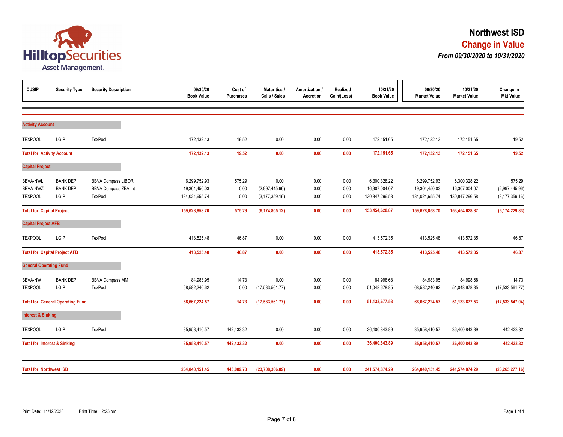

| <b>CUSIP</b>                                  | <b>Security Type</b>                       | <b>Security Description</b>                                  | 09/30/20<br><b>Book Value</b>                   | Cost of<br><b>Purchases</b> | <b>Maturities /</b><br>Calls / Sales       | Amortization /<br><b>Accretion</b> | Realized<br>Gain/(Loss) | 10/31/20<br><b>Book Value</b>                   | 09/30/20<br><b>Market Value</b>                 | 10/31/20<br><b>Market Value</b>                 | Change in<br><b>Mkt Value</b>                |
|-----------------------------------------------|--------------------------------------------|--------------------------------------------------------------|-------------------------------------------------|-----------------------------|--------------------------------------------|------------------------------------|-------------------------|-------------------------------------------------|-------------------------------------------------|-------------------------------------------------|----------------------------------------------|
|                                               |                                            |                                                              |                                                 |                             |                                            |                                    |                         |                                                 |                                                 |                                                 |                                              |
| <b>Activity Account</b>                       |                                            |                                                              |                                                 |                             |                                            |                                    |                         |                                                 |                                                 |                                                 |                                              |
| <b>TEXPOOL</b>                                | LGIP                                       | TexPool                                                      | 172,132.13                                      | 19.52                       | 0.00                                       | 0.00                               | 0.00                    | 172,151.65                                      | 172,132.13                                      | 172,151.65                                      | 19.52                                        |
| <b>Total for Activity Account</b>             |                                            |                                                              | 172,132.13                                      | 19.52                       | 0.00                                       | 0.00                               | 0.00                    | 172,151.65                                      | 172,132.13                                      | 172,151.65                                      | 19.52                                        |
| <b>Capital Project</b>                        |                                            |                                                              |                                                 |                             |                                            |                                    |                         |                                                 |                                                 |                                                 |                                              |
| <b>BBVA-NWL</b><br>BBVA-NWZ<br><b>TEXPOOL</b> | <b>BANK DEP</b><br><b>BANK DEP</b><br>LGIP | <b>BBVA Compass LIBOR</b><br>BBVA Compass ZBA Int<br>TexPool | 6,299,752.93<br>19,304,450.03<br>134,024,655.74 | 575.29<br>0.00<br>0.00      | 0.00<br>(2,997,445.96)<br>(3, 177, 359.16) | 0.00<br>0.00<br>0.00               | 0.00<br>0.00<br>0.00    | 6,300,328.22<br>16,307,004.07<br>130,847,296.58 | 6,299,752.93<br>19,304,450.03<br>134,024,655.74 | 6,300,328.22<br>16,307,004.07<br>130,847,296.58 | 575.29<br>(2,997,445.96)<br>(3, 177, 359.16) |
| <b>Total for Capital Project</b>              |                                            |                                                              | 159,628,858.70                                  | 575.29                      | (6, 174, 805.12)                           | 0.00                               | 0.00                    | 153,454,628.87                                  | 159,628,858.70                                  | 153,454,628.87                                  | (6, 174, 229.83)                             |
| <b>Capital Project AFB</b>                    |                                            |                                                              |                                                 |                             |                                            |                                    |                         |                                                 |                                                 |                                                 |                                              |
| <b>TEXPOOL</b>                                | LGIP                                       | TexPool                                                      | 413,525.48                                      | 46.87                       | 0.00                                       | 0.00                               | 0.00                    | 413,572.35                                      | 413,525.48                                      | 413,572.35                                      | 46.87                                        |
|                                               | <b>Total for Capital Project AFB</b>       |                                                              | 413,525.48                                      | 46.87                       | 0.00                                       | 0.00                               | 0.00                    | 413,572.35                                      | 413,525.48                                      | 413,572.35                                      | 46.87                                        |
| <b>General Operating Fund</b>                 |                                            |                                                              |                                                 |                             |                                            |                                    |                         |                                                 |                                                 |                                                 |                                              |
| <b>BBVA-NW</b><br><b>TEXPOOL</b>              | <b>BANK DEP</b><br>LGIP                    | <b>BBVA Compass MM</b><br>TexPool                            | 84,983.95<br>68,582,240.62                      | 14.73<br>0.00               | 0.00<br>(17, 533, 561.77)                  | 0.00<br>0.00                       | 0.00<br>0.00            | 84,998.68<br>51,048,678.85                      | 84,983.95<br>68,582,240.62                      | 84,998.68<br>51,048,678.85                      | 14.73<br>(17, 533, 561.77)                   |
|                                               | <b>Total for General Operating Fund</b>    |                                                              | 68,667,224.57                                   | 14.73                       | (17, 533, 561.77)                          | 0.00                               | 0.00                    | 51, 133, 677.53                                 | 68,667,224.57                                   | 51, 133, 677. 53                                | (17, 533, 547.04)                            |
| <b>Interest &amp; Sinking</b>                 |                                            |                                                              |                                                 |                             |                                            |                                    |                         |                                                 |                                                 |                                                 |                                              |
| <b>TEXPOOL</b>                                | LGIP                                       | TexPool                                                      | 35,958,410.57                                   | 442,433.32                  | 0.00                                       | 0.00                               | 0.00                    | 36,400,843.89                                   | 35,958,410.57                                   | 36,400,843.89                                   | 442,433.32                                   |
| <b>Total for Interest &amp; Sinking</b>       |                                            |                                                              | 35,958,410.57                                   | 442,433.32                  | 0.00                                       | 0.00                               | 0.00                    | 36,400,843.89                                   | 35,958,410.57                                   | 36,400,843.89                                   | 442,433.32                                   |
| <b>Total for Northwest ISD</b>                |                                            |                                                              | 264,840,151.45                                  | 443,089.73                  | (23,708,366.89)                            | 0.00                               | 0.00                    | 241,574,874.29                                  | 264,840,151.45                                  | 241,574,874.29                                  | (23, 265, 277.16)                            |